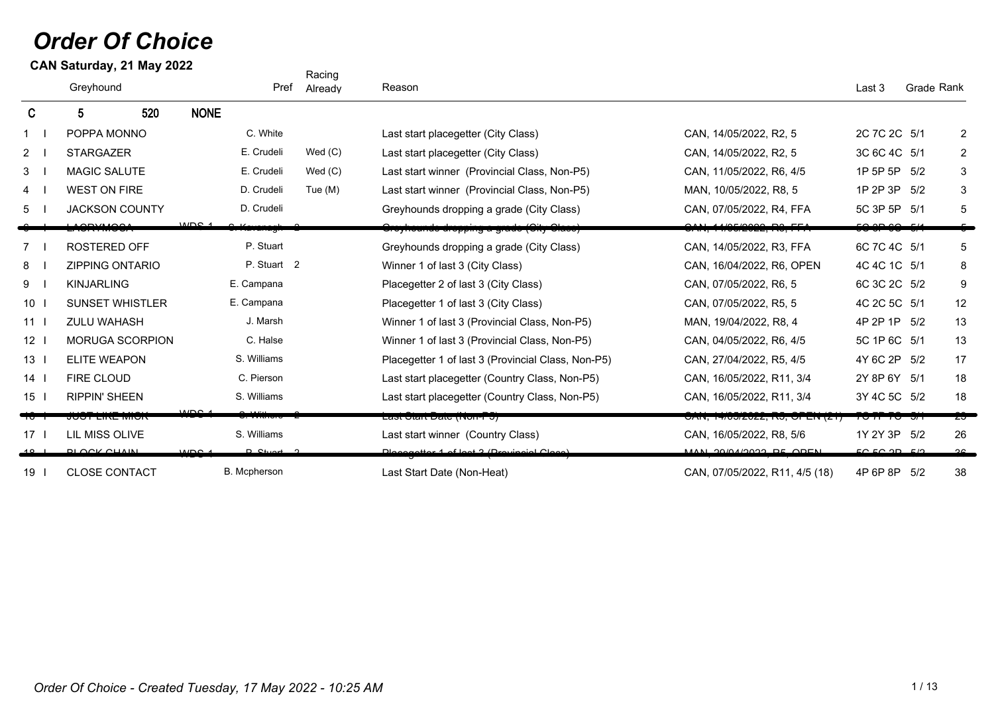# *Order Of Choice*

Greyhound **Pref Already Reason** Communication Communication Communication Communication Communication Crade Rank **CAN Saturday, 21 May 2022** C 5 520 NONE Racing Already 1 I POPPA MONNO C. White C. White Last start placegetter (City Class) CAN, 14/05/2022, R2, 5 2C 7C 2C 5/1 2 2 I STARGAZER **I** E. Crudeli Wed (C) Last start placegetter (City Class) CAN, 14/05/2022, R2, 5 3C 6C 4C 5/1 2 3 I MAGIC SALUTE **I** E. Crudeli Wed (C) Last start winner (Provincial Class, Non-P5) CAN, 11/05/2022, R6, 4/5 1P 5P 5P 5/2 3 4 I WEST ON FIRE D. Crudeli Tue (M) Last start winner (Provincial Class, Non-P5) MAN, 10/05/2022, R8, 5 1P 2P 3P 5/2 3 5 I JACKSON COUNTY D. Crudeli Crudeli Greyhounds dropping a grade (City Class) CAN, 07/05/2022, R4, FFA 5C 3P 5P 5/1 5 6 LACRYMOSA I S. Kavanagh 2 Greyhounds dropping a grade (City Class) CAN, 14/05/2022, R3, FFA 5C 3P 6C 5/1 5 7 I ROSTERED OFF **Interpret Creates Access** P. Stuart Creyhounds dropping a grade (City Class) CAN, 14/05/2022, R3, FFA 6C 7C 4C 5/1 5 8 | ZIPPING ONTARIO P. Stuart 2 Winner 1 of last 3 (City Class) CAN, 16/04/2022, R6, OPEN 4C 4C 1C 5/1 8 9 I KINJARLING COMPRESS E. Campana Compana Placegetter 2 of last 3 (City Class) CAN, 07/05/2022, R6, 5 6C 3C 2C 5/2 9 10 I SUNSET WHISTLER E. Campana B. Campana Placegetter 1 of last 3 (City Class) CAN, 07/05/2022, R5, 5 4C 2C 5C 5/1 12 11 ZULU WAHASH I J. Marsh Winner 1 of last 3 (Provincial Class, Non-P5) MAN, 19/04/2022, R8, 4 4P 2P 1P 5/2 13 12 I MORUGA SCORPION C. Halse Winner 1 of last 3 (Provincial Class, Non-P5) CAN, 04/05/2022, R6, 4/5 5C 1P 6C 5/1 13 13 I ELITE WEAPON S. Williams Placegetter 1 of last 3 (Provincial Class, Non-P5) CAN, 27/04/2022, R5, 4/5 4Y 6C 2P 5/2 17 14 I FIRE CLOUD C. Pierson C. Pierson Last start placegetter (Country Class, Non-P5) CAN, 16/05/2022, R11, 3/4 2Y 8P 6Y 5/1 18 15 I RIPPIN' SHEEN S. Williams S. Williams Last start placegetter (Country Class, Non-P5) CAN, 16/05/2022, R11, 3/4 3Y 4C 5C 5/2 18 16 Transformation of the MDS 4 C. S. Withers 2 Last Start Date (Non-P5) CAN, 14/05/2022, R5, OPEN (21) 7C 7P 7C 5/1 23 17 LIL MISS OLIVE S. Williams Cast start winner (Country Class) CAN, 16/05/2022, R8, 5/6 1Y 2Y 3P 5/2 26 18 BLOCK CHAIN I P. Stuart 2 Placegetter 1 of last 3 (Provincial Class) MAN, 29/04/2022, R5, OPEN 5C 5C 2P 5/2 36 19 CLOSE CONTACT I B. Mcpherson Last Start Date (Non-Heat) CAN, 07/05/2022, R11, 4/5 (18) 4P 6P 8P 5/2 38  $MDD<sub>0</sub>$ WDS-1  $MDC<sub>4</sub>$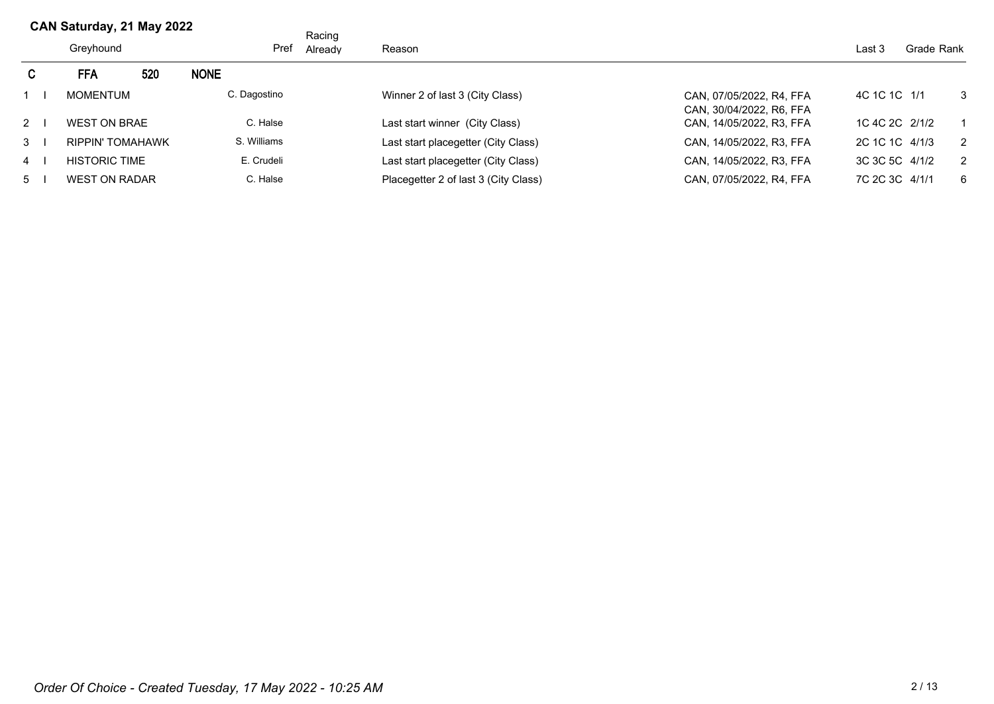|                           | Greyhound            |     | Pref         | Racing<br>Already | Reason                               |                                                      | Last 3         | Grade Rank |                |
|---------------------------|----------------------|-----|--------------|-------------------|--------------------------------------|------------------------------------------------------|----------------|------------|----------------|
| C.                        | <b>FFA</b>           | 520 | <b>NONE</b>  |                   |                                      |                                                      |                |            |                |
|                           | <b>MOMENTUM</b>      |     | C. Dagostino |                   | Winner 2 of last 3 (City Class)      | CAN, 07/05/2022, R4, FFA<br>CAN, 30/04/2022, R6, FFA | 4C 1C 1C 1/1   |            | $\mathbf{3}$   |
| $2 \mid$                  | <b>WEST ON BRAE</b>  |     | C. Halse     |                   | Last start winner (City Class)       | CAN, 14/05/2022, R3, FFA                             | 1C 4C 2C 2/1/2 |            |                |
| $\mathbf{3}$ $\mathbf{1}$ | RIPPIN' TOMAHAWK     |     | S. Williams  |                   | Last start placegetter (City Class)  | CAN, 14/05/2022, R3, FFA                             | 2C 1C 1C 4/1/3 |            | $\overline{2}$ |
| 4                         | <b>HISTORIC TIME</b> |     | E. Crudeli   |                   | Last start placegetter (City Class)  | CAN, 14/05/2022, R3, FFA                             | 3C 3C 5C 4/1/2 |            | 2              |
| 5 <sub>1</sub>            | <b>WEST ON RADAR</b> |     | C. Halse     |                   | Placegetter 2 of last 3 (City Class) | CAN, 07/05/2022, R4, FFA                             | 7C 2C 3C 4/1/1 |            | - 6            |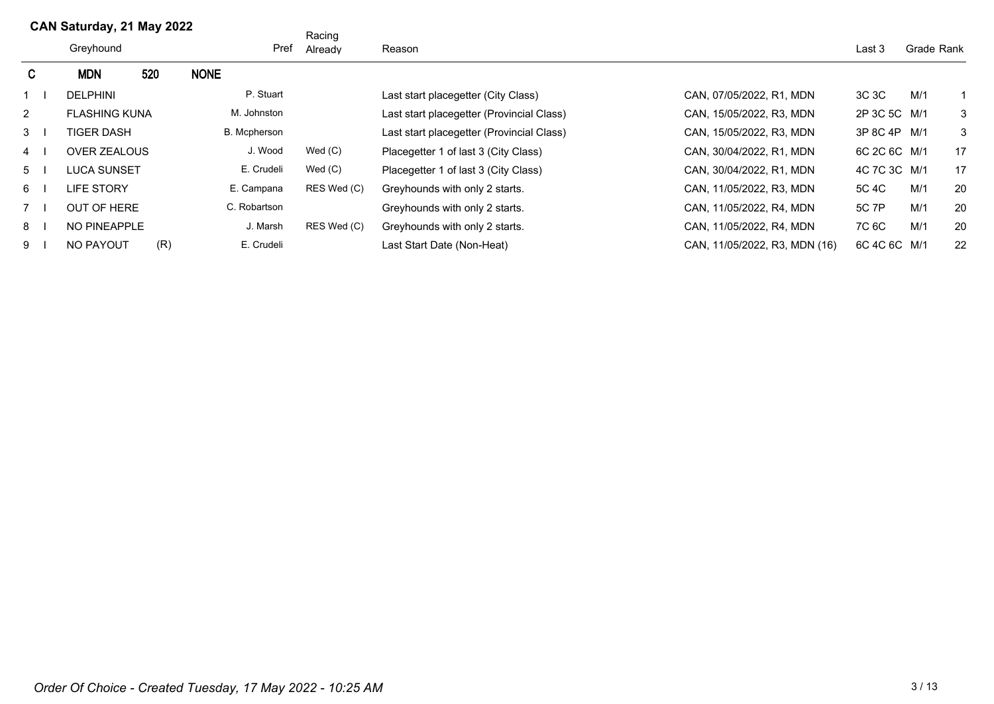|                      | Greyhound            |     | Pref         | Racing<br>Already | Reason                                    |                               | Last 3       | Grade Rank |    |
|----------------------|----------------------|-----|--------------|-------------------|-------------------------------------------|-------------------------------|--------------|------------|----|
| C.                   | <b>MDN</b>           | 520 | <b>NONE</b>  |                   |                                           |                               |              |            |    |
|                      | <b>DELPHINI</b>      |     | P. Stuart    |                   | Last start placegetter (City Class)       | CAN, 07/05/2022, R1, MDN      | 3C 3C        | M/1        |    |
| $\mathbf{2}^{\circ}$ | <b>FLASHING KUNA</b> |     | M. Johnston  |                   | Last start placegetter (Provincial Class) | CAN, 15/05/2022, R3, MDN      | 2P 3C 5C M/1 |            | 3  |
| $3 \mid$             | TIGER DASH           |     | B. Mcpherson |                   | Last start placegetter (Provincial Class) | CAN, 15/05/2022, R3, MDN      | 3P 8C 4P M/1 |            | 3  |
| 4                    | <b>OVER ZEALOUS</b>  |     | J. Wood      | Wed(C)            | Placegetter 1 of last 3 (City Class)      | CAN, 30/04/2022, R1, MDN      | 6C 2C 6C M/1 |            | 17 |
| 5 <sub>1</sub>       | LUCA SUNSET          |     | E. Crudeli   | Wed(C)            | Placegetter 1 of last 3 (City Class)      | CAN, 30/04/2022, R1, MDN      | 4C 7C 3C M/1 |            | 17 |
| 6 I                  | LIFE STORY           |     | E. Campana   | RES Wed (C)       | Greyhounds with only 2 starts.            | CAN, 11/05/2022, R3, MDN      | 5C 4C        | M/1        | 20 |
|                      | <b>OUT OF HERE</b>   |     | C. Robartson |                   | Greyhounds with only 2 starts.            | CAN, 11/05/2022, R4, MDN      | 5C 7P        | M/1        | 20 |
| 8 <sub>1</sub>       | NO PINEAPPLE         |     | J. Marsh     | RES Wed (C)       | Greyhounds with only 2 starts.            | CAN, 11/05/2022, R4, MDN      | 7C 6C        | M/1        | 20 |
| 91                   | NO PAYOUT            | (R) | E. Crudeli   |                   | Last Start Date (Non-Heat)                | CAN, 11/05/2022, R3, MDN (16) | 6C 4C 6C M/1 |            | 22 |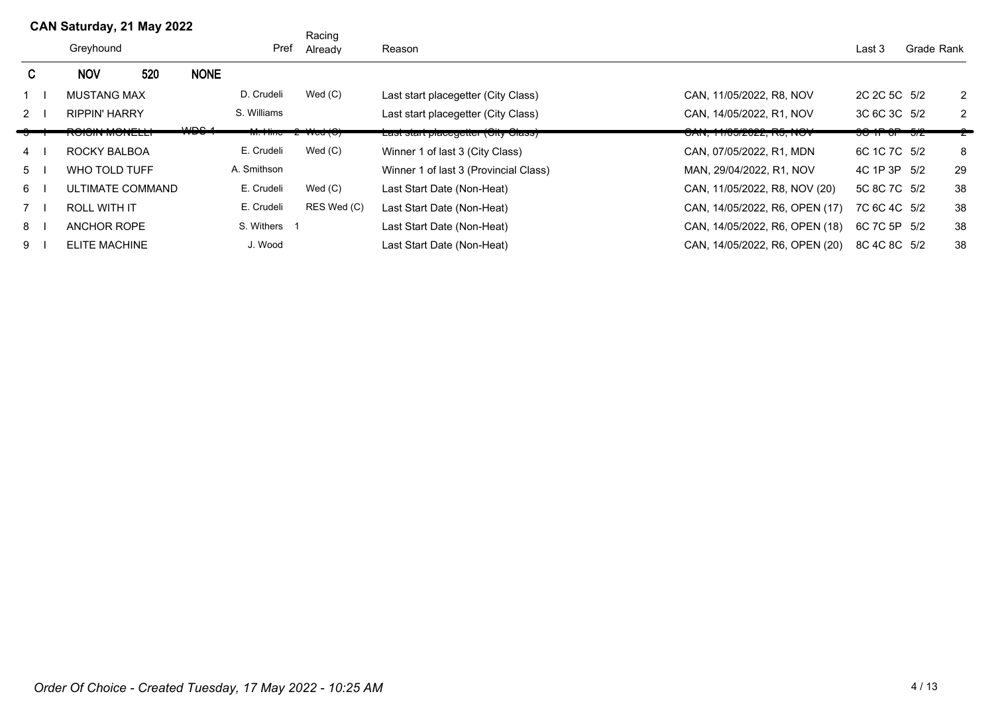|                | CAN Saturday, 21 May 2022 |                  |                  |              | Racing      |                                       |                                    |                      |            |    |
|----------------|---------------------------|------------------|------------------|--------------|-------------|---------------------------------------|------------------------------------|----------------------|------------|----|
|                | Greyhound                 |                  |                  | Pref         | Already     | Reason                                |                                    | Last 3               | Grade Rank |    |
| C.             | <b>NOV</b>                | 520              | <b>NONE</b>      |              |             |                                       |                                    |                      |            |    |
|                | <b>MUSTANG MAX</b>        |                  |                  | D. Crudeli   | Wed $(C)$   | Last start placegetter (City Class)   | CAN, 11/05/2022, R8, NOV           | 2C 2C 5C 5/2         |            | 2  |
| 2              | <b>RIPPIN' HARRY</b>      |                  |                  | S. Williams  |             | Last start placegetter (City Class)   | CAN, 14/05/2022, R1, NOV           | 3C 6C 3C 5/2         |            | 2  |
|                | NUMIN MUNEEL              |                  | MDO <sub>A</sub> |              |             | Last start placegetter (Oity Glass)   | <b>UAIY, LITUUIZUZZ, INU, IYUV</b> | <u>איט ווט וויטט</u> |            |    |
| $\overline{4}$ | ROCKY BALBOA              |                  |                  | E. Crudeli   | Wed $(C)$   | Winner 1 of last 3 (City Class)       | CAN, 07/05/2022, R1, MDN           | 6C 1C 7C 5/2         |            | 8  |
| 5              | WHO TOLD TUFF             |                  |                  | A. Smithson  |             | Winner 1 of last 3 (Provincial Class) | MAN, 29/04/2022, R1, NOV           | 4C 1P 3P 5/2         |            | 29 |
| 6              |                           | ULTIMATE COMMAND |                  | E. Crudeli   | Wed $(C)$   | Last Start Date (Non-Heat)            | CAN, 11/05/2022, R8, NOV (20)      | 5C 8C 7C 5/2         |            | 38 |
| 7              | <b>ROLL WITH IT</b>       |                  |                  | E. Crudeli   | RES Wed (C) | Last Start Date (Non-Heat)            | CAN, 14/05/2022, R6, OPEN (17)     | 7C 6C 4C 5/2         |            | 38 |
| 8              | ANCHOR ROPE               |                  |                  | S. Withers 1 |             | Last Start Date (Non-Heat)            | CAN, 14/05/2022, R6, OPEN (18)     | 6C 7C 5P 5/2         |            | 38 |
| 9              | <b>ELITE MACHINE</b>      |                  |                  | J. Wood      |             | Last Start Date (Non-Heat)            | CAN, 14/05/2022, R6, OPEN (20)     | 8C 4C 8C 5/2         |            | 38 |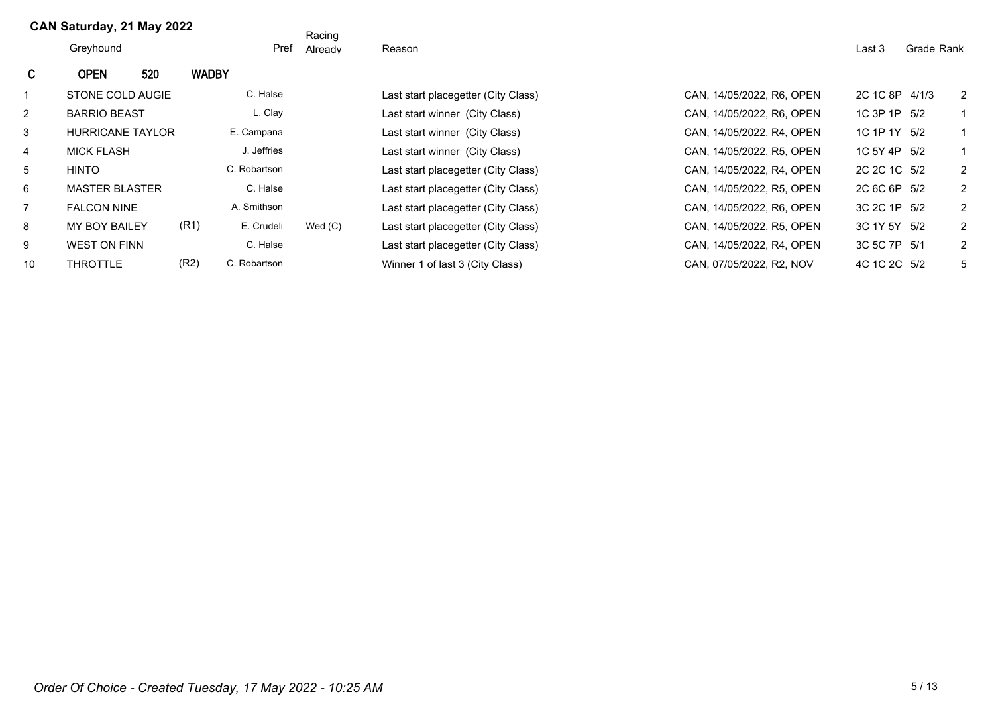|                 | Greyhound               |     |                      | Racing<br>Pref<br>Already | Reason |                                                                  | Last 3         | Grade Rank |  |
|-----------------|-------------------------|-----|----------------------|---------------------------|--------|------------------------------------------------------------------|----------------|------------|--|
| $\mathsf{C}$    | <b>OPEN</b>             | 520 | <b>WADBY</b>         |                           |        |                                                                  |                |            |  |
|                 | STONE COLD AUGIE        |     | C. Halse             |                           |        | Last start placegetter (City Class)<br>CAN, 14/05/2022, R6, OPEN | 2C 1C 8P 4/1/3 | 2          |  |
| $\overline{2}$  | <b>BARRIO BEAST</b>     |     | L. Clay              |                           |        | CAN, 14/05/2022, R6, OPEN<br>Last start winner (City Class)      | 1C 3P 1P 5/2   |            |  |
| 3               | <b>HURRICANE TAYLOR</b> |     | E. Campana           |                           |        | CAN, 14/05/2022, R4, OPEN<br>Last start winner (City Class)      | 1C 1P 1Y 5/2   |            |  |
| $\overline{4}$  | <b>MICK FLASH</b>       |     | J. Jeffries          |                           |        | CAN, 14/05/2022, R5, OPEN<br>Last start winner (City Class)      | 1C 5Y 4P 5/2   |            |  |
| $5\overline{)}$ | <b>HINTO</b>            |     | C. Robartson         |                           |        | CAN, 14/05/2022, R4, OPEN<br>Last start placegetter (City Class) | 2C 2C 1C 5/2   | 2          |  |
| 6               | <b>MASTER BLASTER</b>   |     | C. Halse             |                           |        | CAN, 14/05/2022, R5, OPEN<br>Last start placegetter (City Class) | 2C 6C 6P 5/2   | 2          |  |
| $\overline{7}$  | <b>FALCON NINE</b>      |     | A. Smithson          |                           |        | CAN, 14/05/2022, R6, OPEN<br>Last start placegetter (City Class) | 3C 2C 1P 5/2   | 2          |  |
| 8               | <b>MY BOY BAILEY</b>    |     | (R1)<br>E. Crudeli   | Wed(C)                    |        | CAN, 14/05/2022, R5, OPEN<br>Last start placegetter (City Class) | 3C 1Y 5Y 5/2   | 2          |  |
| 9               | <b>WEST ON FINN</b>     |     | C. Halse             |                           |        | Last start placegetter (City Class)<br>CAN, 14/05/2022, R4, OPEN | 3C 5C 7P 5/1   | 2          |  |
| 10              | <b>THROTTLE</b>         |     | (R2)<br>C. Robartson |                           |        | Winner 1 of last 3 (City Class)<br>CAN, 07/05/2022, R2, NOV      | 4C 1C 2C 5/2   | 5          |  |
|                 |                         |     |                      |                           |        |                                                                  |                |            |  |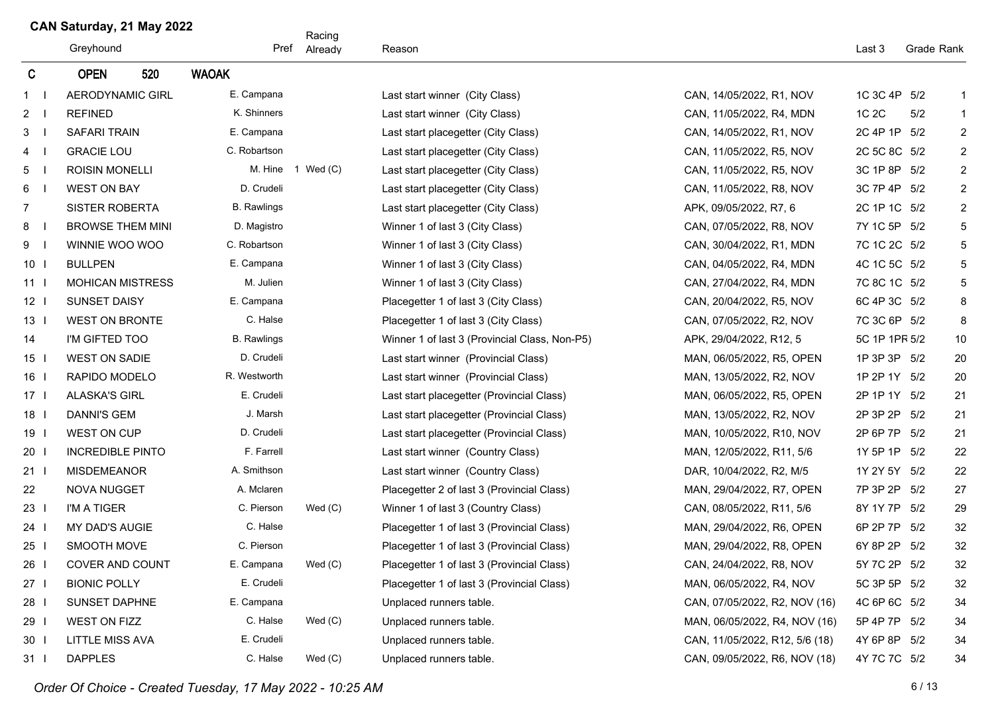|                 |                         |                    | Racing            |                                               |                                |               |            |                |
|-----------------|-------------------------|--------------------|-------------------|-----------------------------------------------|--------------------------------|---------------|------------|----------------|
|                 | Greyhound               | Pref               | Already           | Reason                                        |                                | Last 3        | Grade Rank |                |
| C               | <b>OPEN</b><br>520      | <b>WAOAK</b>       |                   |                                               |                                |               |            |                |
| $1 \quad$       | <b>AERODYNAMIC GIRL</b> | E. Campana         |                   | Last start winner (City Class)                | CAN, 14/05/2022, R1, NOV       | 1C 3C 4P 5/2  |            | $\mathbf{1}$   |
| $2 \mid$        | <b>REFINED</b>          | K. Shinners        |                   | Last start winner (City Class)                | CAN, 11/05/2022, R4, MDN       | 1C 2C         | 5/2        | $\mathbf{1}$   |
| $3 \mid$        | <b>SAFARI TRAIN</b>     | E. Campana         |                   | Last start placegetter (City Class)           | CAN, 14/05/2022, R1, NOV       | 2C 4P 1P 5/2  |            | $\overline{2}$ |
| $4 \mid$        | <b>GRACIE LOU</b>       | C. Robartson       |                   | Last start placegetter (City Class)           | CAN, 11/05/2022, R5, NOV       | 2C 5C 8C 5/2  |            | $\overline{2}$ |
| $5 \quad$       | <b>ROISIN MONELLI</b>   |                    | M. Hine 1 Wed (C) | Last start placegetter (City Class)           | CAN, 11/05/2022, R5, NOV       | 3C 1P 8P 5/2  |            | $\overline{2}$ |
| 6 <sub>1</sub>  | <b>WEST ON BAY</b>      | D. Crudeli         |                   | Last start placegetter (City Class)           | CAN, 11/05/2022, R8, NOV       | 3C 7P 4P 5/2  |            | $\overline{2}$ |
| $\overline{7}$  | <b>SISTER ROBERTA</b>   | <b>B.</b> Rawlings |                   | Last start placegetter (City Class)           | APK, 09/05/2022, R7, 6         | 2C 1P 1C 5/2  |            | $\overline{2}$ |
| 8 <sub>1</sub>  | <b>BROWSE THEM MINI</b> | D. Magistro        |                   | Winner 1 of last 3 (City Class)               | CAN, 07/05/2022, R8, NOV       | 7Y 1C 5P 5/2  |            | 5              |
| 9 <sub>1</sub>  | WINNIE WOO WOO          | C. Robartson       |                   | Winner 1 of last 3 (City Class)               | CAN, 30/04/2022, R1, MDN       | 7C 1C 2C 5/2  |            | 5              |
| 10 <sub>l</sub> | <b>BULLPEN</b>          | E. Campana         |                   | Winner 1 of last 3 (City Class)               | CAN, 04/05/2022, R4, MDN       | 4C 1C 5C 5/2  |            | 5              |
| 11 <sup>1</sup> | <b>MOHICAN MISTRESS</b> | M. Julien          |                   | Winner 1 of last 3 (City Class)               | CAN, 27/04/2022, R4, MDN       | 7C 8C 1C 5/2  |            | 5              |
| 12 <sub>1</sub> | <b>SUNSET DAISY</b>     | E. Campana         |                   | Placegetter 1 of last 3 (City Class)          | CAN, 20/04/2022, R5, NOV       | 6C 4P 3C 5/2  |            | 8              |
| 13 <sub>1</sub> | <b>WEST ON BRONTE</b>   | C. Halse           |                   | Placegetter 1 of last 3 (City Class)          | CAN, 07/05/2022, R2, NOV       | 7C 3C 6P 5/2  |            | 8              |
| 14              | I'M GIFTED TOO          | <b>B.</b> Rawlings |                   | Winner 1 of last 3 (Provincial Class, Non-P5) | APK, 29/04/2022, R12, 5        | 5C 1P 1PF 5/2 |            | 10             |
| $15$            | <b>WEST ON SADIE</b>    | D. Crudeli         |                   | Last start winner (Provincial Class)          | MAN, 06/05/2022, R5, OPEN      | 1P 3P 3P 5/2  |            | 20             |
| $16-1$          | RAPIDO MODELO           | R. Westworth       |                   | Last start winner (Provincial Class)          | MAN, 13/05/2022, R2, NOV       | 1P 2P 1Y 5/2  |            | 20             |
| $17-1$          | <b>ALASKA'S GIRL</b>    | E. Crudeli         |                   | Last start placegetter (Provincial Class)     | MAN, 06/05/2022, R5, OPEN      | 2P 1P 1Y 5/2  |            | 21             |
| 18 <sup>1</sup> | <b>DANNI'S GEM</b>      | J. Marsh           |                   | Last start placegetter (Provincial Class)     | MAN, 13/05/2022, R2, NOV       | 2P 3P 2P 5/2  |            | 21             |
| 19 <sub>l</sub> | <b>WEST ON CUP</b>      | D. Crudeli         |                   | Last start placegetter (Provincial Class)     | MAN, 10/05/2022, R10, NOV      | 2P 6P 7P 5/2  |            | 21             |
| 20 <sub>1</sub> | <b>INCREDIBLE PINTO</b> | F. Farrell         |                   | Last start winner (Country Class)             | MAN, 12/05/2022, R11, 5/6      | 1Y 5P 1P 5/2  |            | 22             |
| 21 <sub>1</sub> | <b>MISDEMEANOR</b>      | A. Smithson        |                   | Last start winner (Country Class)             | DAR, 10/04/2022, R2, M/5       | 1Y 2Y 5Y 5/2  |            | 22             |
| 22              | <b>NOVA NUGGET</b>      | A. Mclaren         |                   | Placegetter 2 of last 3 (Provincial Class)    | MAN, 29/04/2022, R7, OPEN      | 7P 3P 2P 5/2  |            | 27             |
| 23 <sub>1</sub> | I'M A TIGER             | C. Pierson         | Wed $(C)$         | Winner 1 of last 3 (Country Class)            | CAN, 08/05/2022, R11, 5/6      | 8Y 1Y 7P 5/2  |            | 29             |
| $24$ l          | <b>MY DAD'S AUGIE</b>   | C. Halse           |                   | Placegetter 1 of last 3 (Provincial Class)    | MAN, 29/04/2022, R6, OPEN      | 6P 2P 7P 5/2  |            | 32             |
| $25$            | SMOOTH MOVE             | C. Pierson         |                   | Placegetter 1 of last 3 (Provincial Class)    | MAN, 29/04/2022, R8, OPEN      | 6Y 8P 2P 5/2  |            | 32             |
| 26 l            | COVER AND COUNT         | E. Campana         | Wed $(C)$         | Placegetter 1 of last 3 (Provincial Class)    | CAN, 24/04/2022, R8, NOV       | 5Y 7C 2P 5/2  |            | 32             |
| 27 <sub>1</sub> | <b>BIONIC POLLY</b>     | E. Crudeli         |                   | Placegetter 1 of last 3 (Provincial Class)    | MAN, 06/05/2022, R4, NOV       | 5C 3P 5P 5/2  |            | 32             |
| 28 l            | SUNSET DAPHNE           | E. Campana         |                   | Unplaced runners table.                       | CAN, 07/05/2022, R2, NOV (16)  | 4C 6P 6C 5/2  |            | 34             |
| 29 l            | <b>WEST ON FIZZ</b>     | C. Halse           | Wed $(C)$         | Unplaced runners table.                       | MAN, 06/05/2022, R4, NOV (16)  | 5P 4P 7P 5/2  |            | 34             |
| 30 <sub>1</sub> | LITTLE MISS AVA         | E. Crudeli         |                   | Unplaced runners table.                       | CAN, 11/05/2022, R12, 5/6 (18) | 4Y 6P 8P 5/2  |            | 34             |
| 31 <sub>1</sub> | <b>DAPPLES</b>          | C. Halse           | Wed(C)            | Unplaced runners table.                       | CAN, 09/05/2022, R6, NOV (18)  | 4Y 7C 7C 5/2  |            | 34             |

*Order Of Choice - Created Tuesday, 17 May 2022 - 10:25 AM* 6/13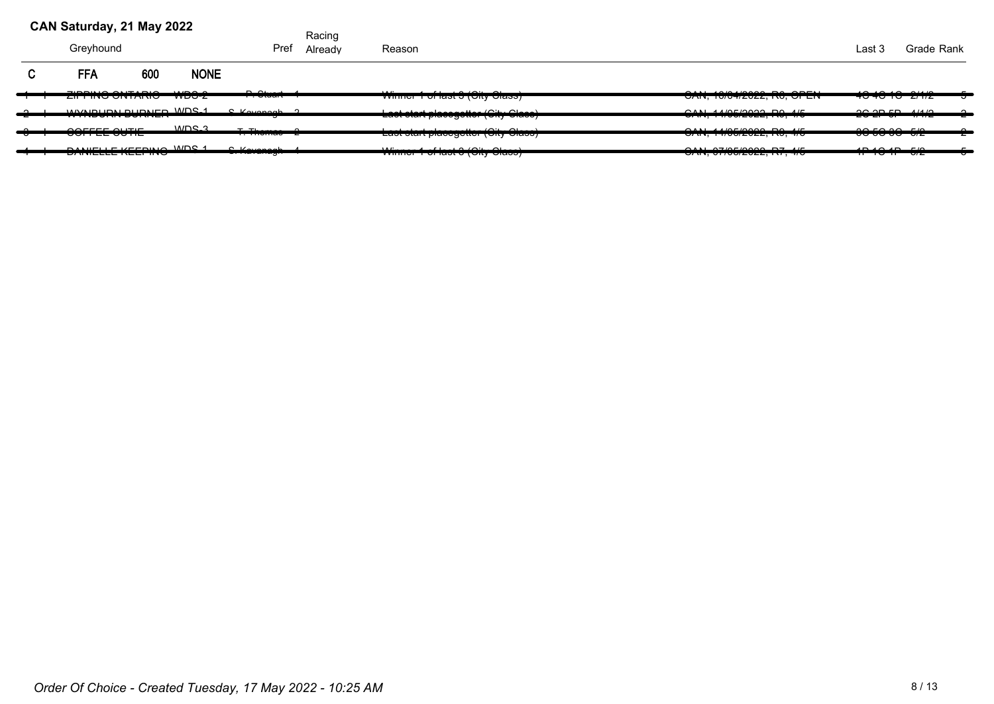| CAN Saturday, 21 May 2022                           |     |                              |                                         | Racing  |                                                                                                                                                               |                                                                                    |                                      |            |
|-----------------------------------------------------|-----|------------------------------|-----------------------------------------|---------|---------------------------------------------------------------------------------------------------------------------------------------------------------------|------------------------------------------------------------------------------------|--------------------------------------|------------|
| Greyhound                                           |     |                              | Pref                                    | Already | Reason                                                                                                                                                        |                                                                                    | Last 3                               | Grade Rank |
| <b>FFA</b>                                          | 600 | <b>NONE</b>                  |                                         |         |                                                                                                                                                               |                                                                                    |                                      |            |
| 7.0011001171010<br><del>בורד היס סוויד המ</del>     |     | $\cdots$<br><del>woo-z</del> | $\sim$ $\sim$<br><del>. . oluurle</del> |         | $\mathbf{1}$ $\mathbf{1}$ $\mathbf{2}$ $\mathbf{3}$ $\mathbf{3}$ $\mathbf{4}$ $\mathbf{5}$ $\mathbf{5}$ $\mathbf{1}$<br><u>viimion ni idot o toity oldooj</u> | 2111.4281000000000000011<br><del>טרוז, וטיט ויבעבב, וזט, טו בוז</del>              | 10.10.10.0110<br><del>.</del>        |            |
| WASHINDON DUDNED WOR 1<br>_________________         |     |                              | $C$ Koyangah $\Omega$                   |         | aatatada dagaanatta 10itu Olaaa)<br><u>casi siai i bianadariai Toirt oiann l</u>                                                                              | OMI A UOC/OOO. DO A/E<br><del>0.</del>                                             | $20.205 - 41412$                     |            |
| <del>oon ee oo ne</del>                             |     | MDC <sub>3</sub>             | $T$ , Thenes and $T$                    |         | $\mathbf{u}$ $\mathbf{v}$ $\mathbf{v}$<br>Last start placegotter (Oity Oldse)                                                                                 | <del>UNI. 17/00/2022.110.7/0</del>                                                 | 000000000<br><del>oo oo oo orz</del> |            |
| <b>DANIELLE VEEDING MDC 4</b><br>------------------ |     |                              | 0.1/2.0288                              |         | $\frac{1}{2}$                                                                                                                                                 | $OMI$ $OZIDFIDQOQ$ $DZ$ $I/F$<br><del>07 11 1, 07 7 00 20 20 21, 1 11 , 17 0</del> | $10.40.40$ $F/0$<br><del>.</del>     |            |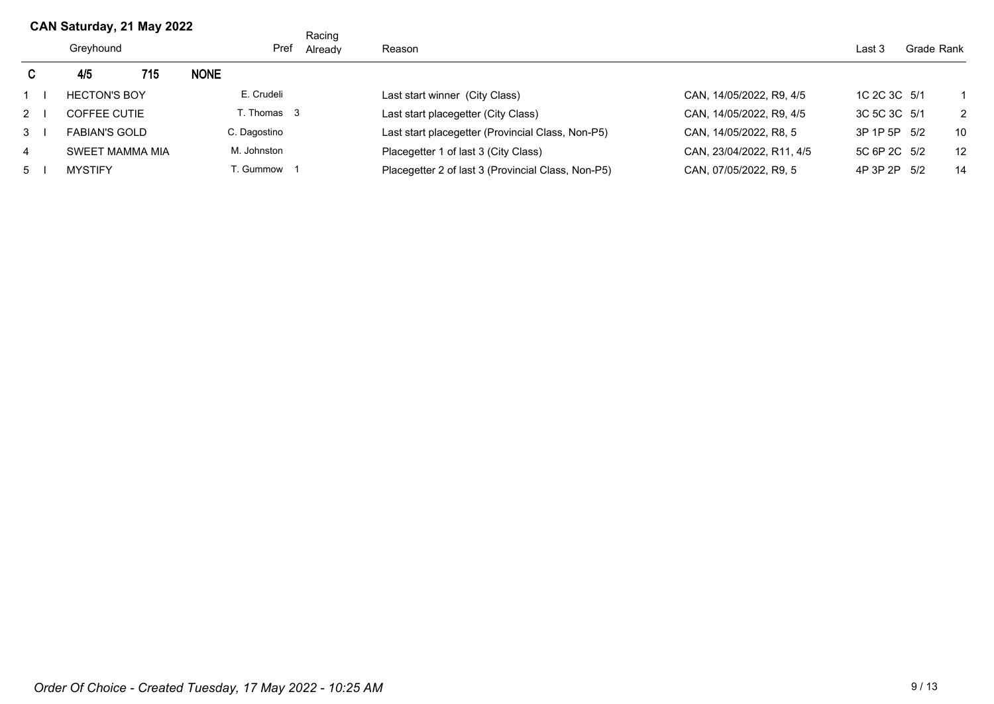|             | CAN Saturday, 21 May 2022 |     |             |              | Racing  |                                                    |                           |              |  |    |
|-------------|---------------------------|-----|-------------|--------------|---------|----------------------------------------------------|---------------------------|--------------|--|----|
|             | Greyhound                 |     |             | Pref         | Already | Reason                                             | Last 3                    | Grade Rank   |  |    |
| C.          | 4/5                       | 715 | <b>NONE</b> |              |         |                                                    |                           |              |  |    |
|             | <b>HECTON'S BOY</b>       |     |             | E. Crudeli   |         | Last start winner (City Class)                     | CAN, 14/05/2022, R9, 4/5  | 1C 2C 3C 5/1 |  |    |
| $2^{\circ}$ | <b>COFFEE CUTIE</b>       |     |             | T. Thomas 3  |         | Last start placegetter (City Class)                | CAN, 14/05/2022, R9, 4/5  | 3C 5C 3C 5/1 |  | 2  |
| 3           | <b>FABIAN'S GOLD</b>      |     |             | C. Dagostino |         | Last start placegetter (Provincial Class, Non-P5)  | CAN, 14/05/2022, R8, 5    | 3P 1P 5P 5/2 |  | 10 |
| 4           | SWEET MAMMA MIA           |     |             | M. Johnston  |         | Placegetter 1 of last 3 (City Class)               | CAN, 23/04/2022, R11, 4/5 | 5C 6P 2C 5/2 |  | 12 |
| 5           | <b>MYSTIFY</b>            |     |             | T. Gummow    |         | Placegetter 2 of last 3 (Provincial Class, Non-P5) | CAN, 07/05/2022, R9, 5    | 4P 3P 2P 5/2 |  | 14 |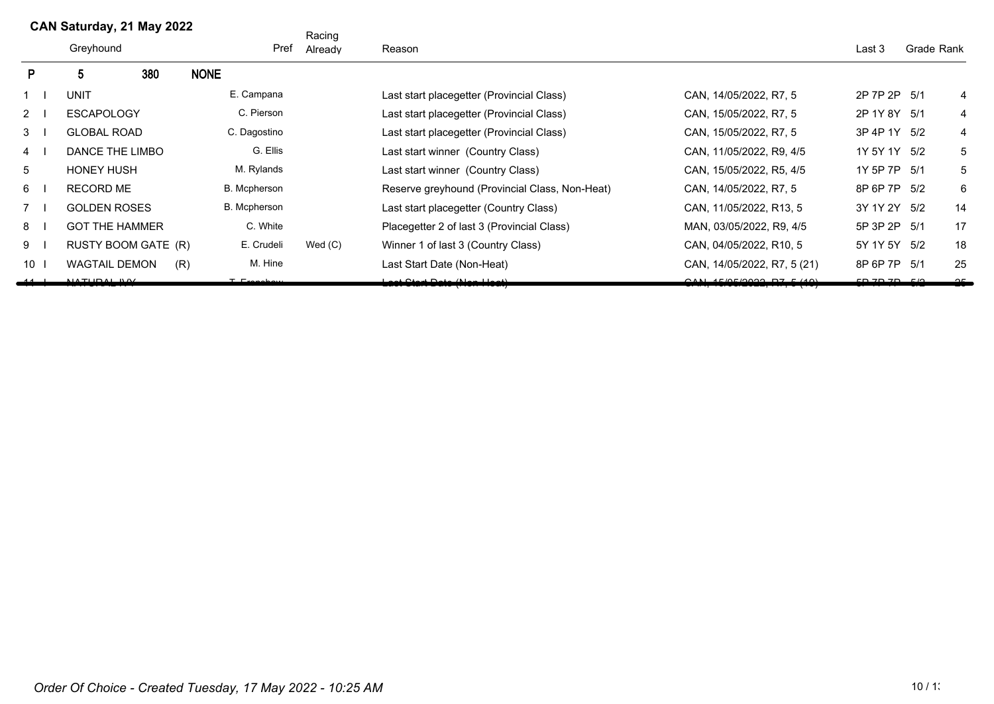|                | CAN Saturday, 21 May 2022 |                       |                     |                       | Racing |           |                                                |                             |                |            |        |
|----------------|---------------------------|-----------------------|---------------------|-----------------------|--------|-----------|------------------------------------------------|-----------------------------|----------------|------------|--------|
|                |                           | Greyhound             |                     |                       | Pref   | Already   | Reason                                         |                             | Last 3         | Grade Rank |        |
| P              |                           |                       | 380                 | <b>NONE</b>           |        |           |                                                |                             |                |            |        |
| 1              |                           | <b>UNIT</b>           |                     | E. Campana            |        |           | Last start placegetter (Provincial Class)      | CAN, 14/05/2022, R7, 5      | 2P 7P 2P 5/1   |            | 4      |
| $2 \mid$       |                           | <b>ESCAPOLOGY</b>     |                     | C. Pierson            |        |           | Last start placegetter (Provincial Class)      | CAN, 15/05/2022, R7, 5      | 2P 1Y 8Y 5/1   |            | 4      |
| 3              |                           | <b>GLOBAL ROAD</b>    |                     | C. Dagostino          |        |           | Last start placegetter (Provincial Class)      | CAN, 15/05/2022, R7, 5      | 3P 4P 1Y 5/2   |            | 4      |
| 4              |                           | DANCE THE LIMBO       |                     | G. Ellis              |        |           | Last start winner (Country Class)              | CAN, 11/05/2022, R9, 4/5    | 1Y 5Y 1Y 5/2   |            | 5      |
| 5              |                           | <b>HONEY HUSH</b>     |                     | M. Rylands            |        |           | Last start winner (Country Class)              | CAN, 15/05/2022, R5, 4/5    | 1Y 5P 7P 5/1   |            | 5      |
| 6              |                           | <b>RECORD ME</b>      |                     | B. Mcpherson          |        |           | Reserve greyhound (Provincial Class, Non-Heat) | CAN, 14/05/2022, R7, 5      | 8P 6P 7P 5/2   |            | 6      |
| 7 <sub>1</sub> |                           | <b>GOLDEN ROSES</b>   |                     | B. Mcpherson          |        |           | Last start placegetter (Country Class)         | CAN, 11/05/2022, R13, 5     | 3Y 1Y 2Y 5/2   |            | 14     |
| 8              |                           | <b>GOT THE HAMMER</b> |                     | C. White              |        |           | Placegetter 2 of last 3 (Provincial Class)     | MAN, 03/05/2022, R9, 4/5    | 5P 3P 2P 5/1   |            | 17     |
| $9 \mid$       |                           |                       | RUSTY BOOM GATE (R) | E. Crudeli            |        | Wed $(C)$ | Winner 1 of last 3 (Country Class)             | CAN, 04/05/2022, R10, 5     | 5Y 1Y 5Y 5/2   |            | 18     |
| $10-1$         |                           | <b>WAGTAIL DEMON</b>  | (R)                 | M. Hine               |        |           | Last Start Date (Non-Heat)                     | CAN, 14/05/2022, R7, 5 (21) | 8P 6P 7P 5/1   |            | 25     |
|                |                           | <u>MATUDAL IMAZ</u>   |                     | $T$ $\Gamma$ conclean |        |           | ומים דוסרון טומים ווטו                         |                             | F D 7 D 7 D 70 |            | $\sim$ |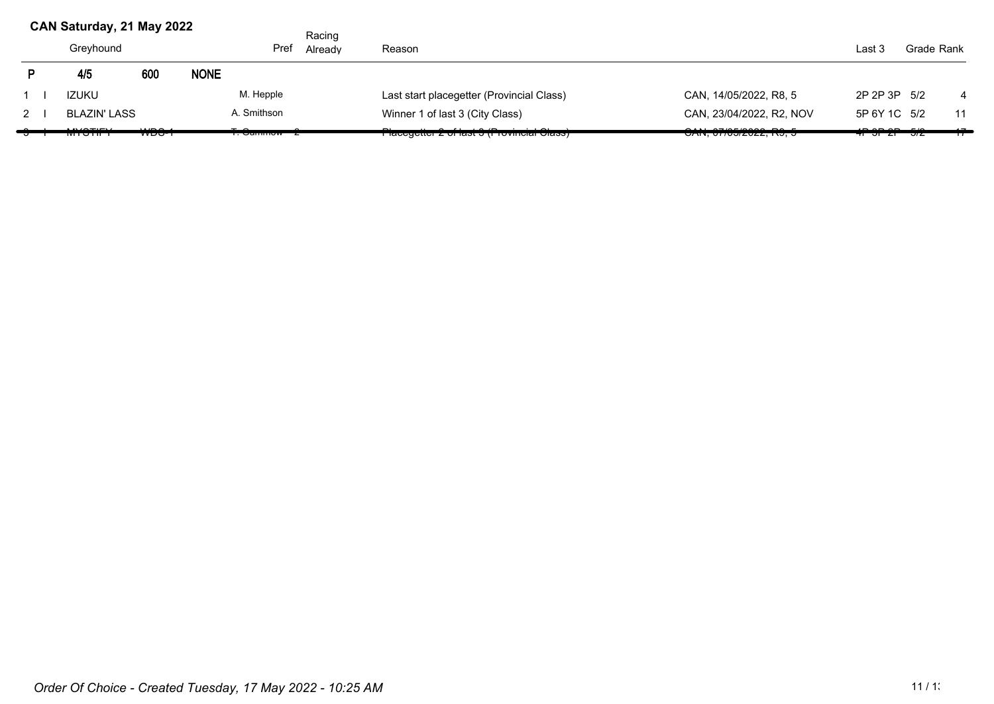|          | CAN Saturday, 21 May 2022 |                                 |             |                                        | Racing            |                                                         |                          |                        |            |    |
|----------|---------------------------|---------------------------------|-------------|----------------------------------------|-------------------|---------------------------------------------------------|--------------------------|------------------------|------------|----|
|          | Pref<br>Greyhound         |                                 |             |                                        | Reason<br>Already |                                                         |                          | Last 3                 | Grade Rank |    |
|          | 4/5                       | 600                             | <b>NONE</b> |                                        |                   |                                                         |                          |                        |            |    |
|          | <b>IZUKU</b>              |                                 |             | M. Hepple                              |                   | Last start placegetter (Provincial Class)               | CAN, 14/05/2022, R8, 5   | 2P 2P 3P 5/2           |            | 4  |
| $2 \mid$ | <b>BLAZIN' LASS</b>       |                                 |             | A. Smithson                            |                   | Winner 1 of last 3 (City Class)                         | CAN, 23/04/2022, R2, NOV | 5P 6Y 1C 5/2           |            | 11 |
|          | <del>wisson i</del>       | $\cdots$<br>,, <del>,,,,,</del> |             | $\tau$ $\sim$<br><del> vannnow z</del> |                   | <del>n lacegetter z on last o (i Tovincial Class)</del> | UNIV, UTTUJIZUZZ, INJ, J | <del>का आ दा अ</del> द |            |    |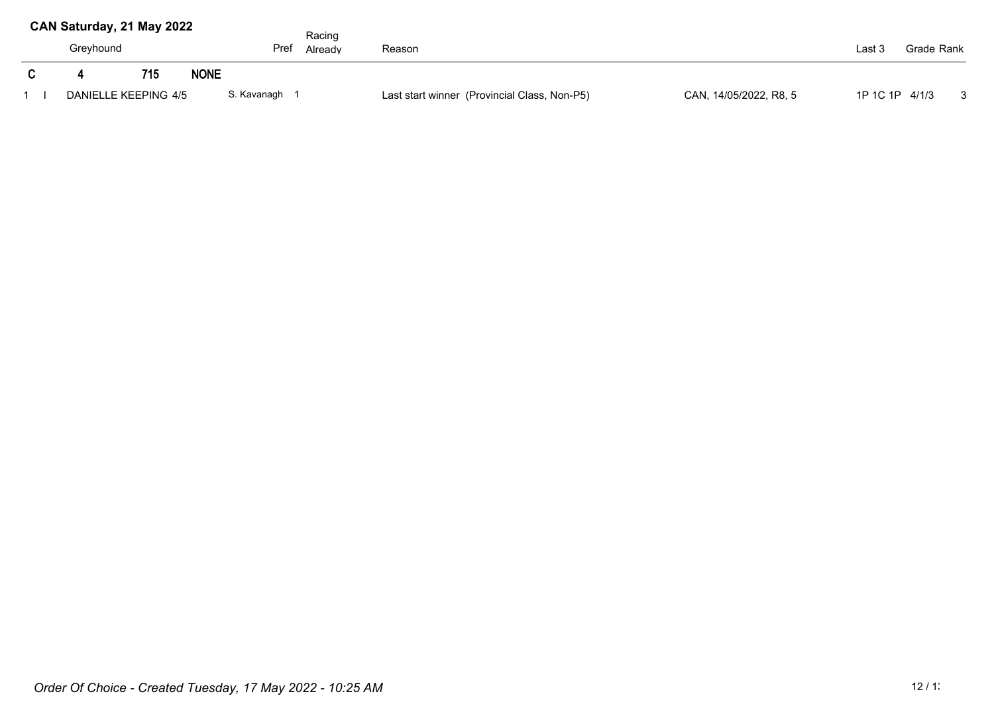| CAN Saturday, 21 May 2022 |     |             |             | Racing  |                                                                        |        |                |                         |
|---------------------------|-----|-------------|-------------|---------|------------------------------------------------------------------------|--------|----------------|-------------------------|
| Greyhound                 |     |             | Pref        | Already | Reason                                                                 | Last 3 | Grade Rank     |                         |
|                           | 715 | <b>NONE</b> |             |         |                                                                        |        |                |                         |
| DANIELLE KEEPING 4/5      |     |             | S. Kavanagh |         | CAN, 14/05/2022, R8, 5<br>Last start winner (Provincial Class, Non-P5) |        | 1P 1C 1P 4/1/3 | $\overline{\mathbf{3}}$ |